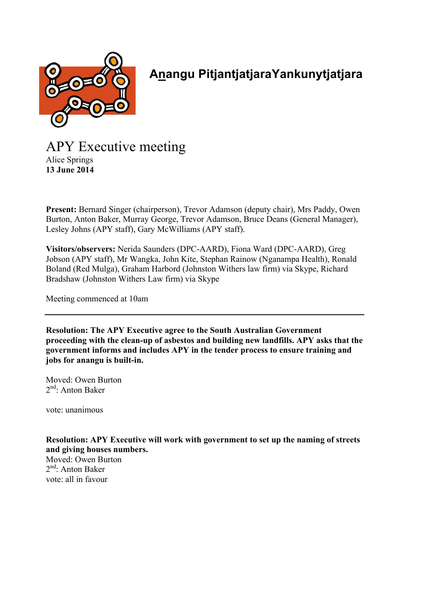

## **Anangu PitjantjatjaraYankunytjatjara**

APY Executive meeting Alice Springs **13 June 2014**

**Present:** Bernard Singer (chairperson), Trevor Adamson (deputy chair), Mrs Paddy, Owen Burton, Anton Baker, Murray George, Trevor Adamson, Bruce Deans (General Manager), Lesley Johns (APY staff), Gary McWilliams (APY staff).

**Visitors/observers:** Nerida Saunders (DPC-AARD), Fiona Ward (DPC-AARD), Greg Jobson (APY staff), Mr Wangka, John Kite, Stephan Rainow (Nganampa Health), Ronald Boland (Red Mulga), Graham Harbord (Johnston Withers law firm) via Skype, Richard Bradshaw (Johnston Withers Law firm) via Skype

Meeting commenced at 10am

**Resolution: The APY Executive agree to the South Australian Government proceeding with the clean-up of asbestos and building new landfills. APY asks that the government informs and includes APY in the tender process to ensure training and jobs for anangu is built-in.**

Moved: Owen Burton  $2<sup>nd</sup>$ : Anton Baker

vote: unanimous

**Resolution: APY Executive will work with government to set up the naming of streets and giving houses numbers.**

Moved: Owen Burton  $2<sup>nd</sup>$ : Anton Baker vote: all in favour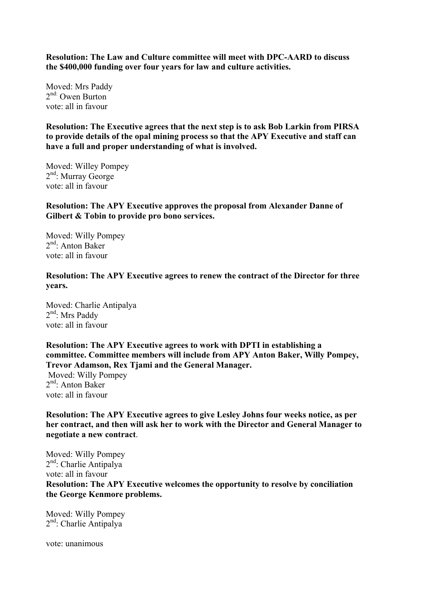**Resolution: The Law and Culture committee will meet with DPC-AARD to discuss the \$400,000 funding over four years for law and culture activities.**

Moved: Mrs Paddy 2<sup>nd:</sup> Owen Burton vote: all in favour

**Resolution: The Executive agrees that the next step is to ask Bob Larkin from PIRSA to provide details of the opal mining process so that the APY Executive and staff can have a full and proper understanding of what is involved.**

Moved: Willey Pompey 2<sup>nd</sup>: Murray George vote: all in favour

**Resolution: The APY Executive approves the proposal from Alexander Danne of Gilbert & Tobin to provide pro bono services.** 

Moved: Willy Pompey  $2<sup>nd</sup>$ : Anton Baker vote: all in favour

**Resolution: The APY Executive agrees to renew the contract of the Director for three years.**

Moved: Charlie Antipalya  $2<sup>nd</sup>$ : Mrs Paddy vote: all in favour

**Resolution: The APY Executive agrees to work with DPTI in establishing a committee. Committee members will include from APY Anton Baker, Willy Pompey, Trevor Adamson, Rex Tjami and the General Manager.**

 Moved: Willy Pompey 2<sup>nd</sup>: Anton Baker vote: all in favour

**Resolution: The APY Executive agrees to give Lesley Johns four weeks notice, as per her contract, and then will ask her to work with the Director and General Manager to negotiate a new contract**.

Moved: Willy Pompey 2nd: Charlie Antipalya vote: all in favour **Resolution: The APY Executive welcomes the opportunity to resolve by conciliation the George Kenmore problems.**

Moved: Willy Pompey 2<sup>nd</sup>: Charlie Antipalya

vote: unanimous